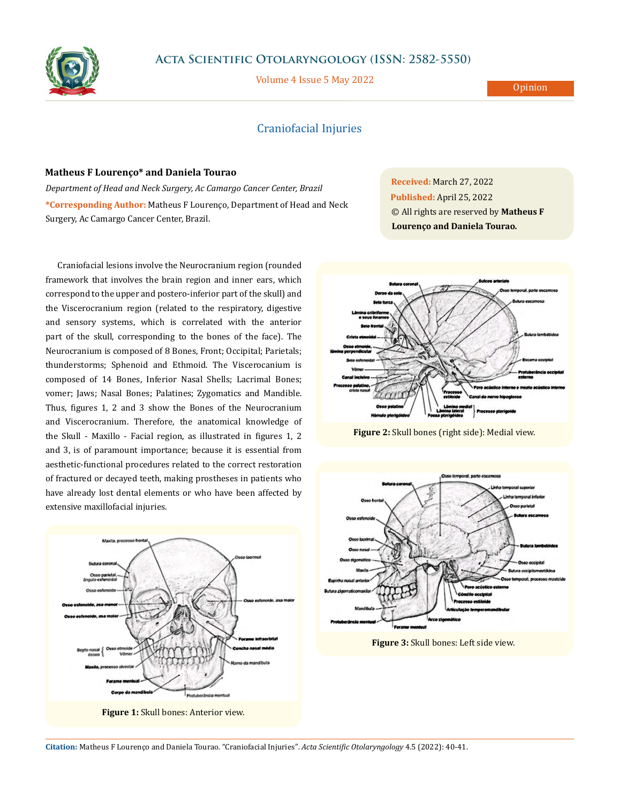

## **Acta Scientific Otolaryngology (ISSN: 2582-5550)**

Volume 4 Issue 5 May 2022

## Craniofacial Injuries

## **Matheus F Lourenço\* and Daniela Tourao**

*Department of Head and Neck Surgery, Ac Camargo Cancer Center, Brazil* **\*Corresponding Author:** Matheus F Lourenço, Department of Head and Neck Surgery, Ac Camargo Cancer Center, Brazil.

Craniofacial lesions involve the Neurocranium region (rounded framework that involves the brain region and inner ears, which correspond to the upper and postero-inferior part of the skull) and the Viscerocranium region (related to the respiratory, digestive and sensory systems, which is correlated with the anterior part of the skull, corresponding to the bones of the face). The Neurocranium is composed of 8 Bones, Front; Occipital; Parietals; thunderstorms; Sphenoid and Ethmoid. The Viscerocanium is composed of 14 Bones, Inferior Nasal Shells; Lacrimal Bones; vomer; Jaws; Nasal Bones; Palatines; Zygomatics and Mandible. Thus, figures 1, 2 and 3 show the Bones of the Neurocranium and Viscerocranium. Therefore, the anatomical knowledge of the Skull - Maxillo - Facial region, as illustrated in figures 1, 2 and 3, is of paramount importance; because it is essential from aesthetic-functional procedures related to the correct restoration of fractured or decayed teeth, making prostheses in patients who have already lost dental elements or who have been affected by extensive maxillofacial injuries.



**Figure 1:** Skull bones: Anterior view.

**Received:** March 27, 2022 **Published:** April 25, 2022 © All rights are reserved by **Matheus F Lourenço and Daniela Tourao***.*



**Figure 2:** Skull bones (right side): Medial view.



**Figure 3:** Skull bones: Left side view.

**Citation:** Matheus F Lourenço and Daniela Tourao*.* "Craniofacial Injuries". *Acta Scientific Otolaryngology* 4.5 (2022): 40-41.